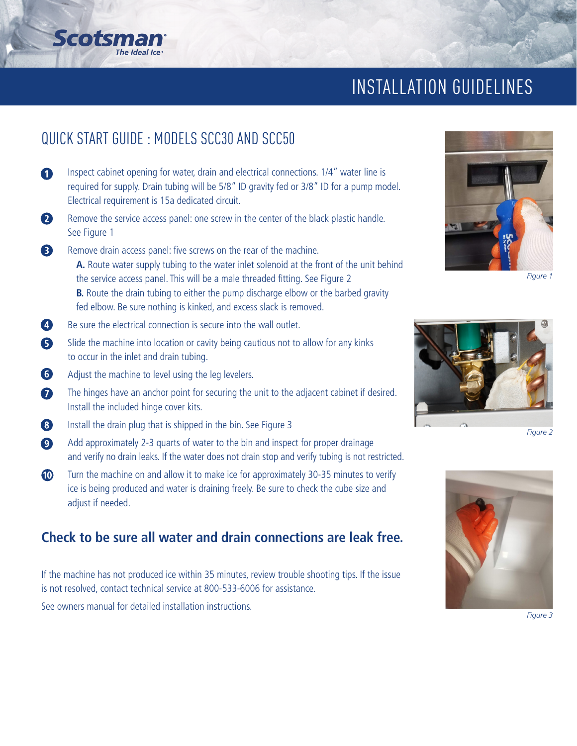## INSTALLATION GUIDELINES

## QUICK START GUIDE : MODELS SCC30 AND SCC50

Scotsn

- $\bullet$ Inspect cabinet opening for water, drain and electrical connections. 1/4" water line is required for supply. Drain tubing will be 5/8" ID gravity fed or 3/8" ID for a pump model. Electrical requirement is 15a dedicated circuit.
- $\mathbf{Q}$ Remove the service access panel: one screw in the center of the black plastic handle. See Figure 1
- 8 Remove drain access panel: five screws on the rear of the machine. **A.** Route water supply tubing to the water inlet solenoid at the front of the unit behind the service access panel. This will be a male threaded fitting. See Figure 2 **B.** Route the drain tubing to either the pump discharge elbow or the barbed gravity fed elbow. Be sure nothing is kinked, and excess slack is removed.
- $\bullet$ Be sure the electrical connection is secure into the wall outlet.
- 6 Slide the machine into location or cavity being cautious not to allow for any kinks to occur in the inlet and drain tubing.
- 6 Adjust the machine to level using the leg levelers.
- $\bullet$ The hinges have an anchor point for securing the unit to the adjacent cabinet if desired. Install the included hinge cover kits.
- 8 Install the drain plug that is shipped in the bin. See Figure 3
- $\bullet$ Add approximately 2-3 quarts of water to the bin and inspect for proper drainage and verify no drain leaks. If the water does not drain stop and verify tubing is not restricted.
- $\bullet$ Turn the machine on and allow it to make ice for approximately 30-35 minutes to verify ice is being produced and water is draining freely. Be sure to check the cube size and adjust if needed.

#### **Check to be sure all water and drain connections are leak free.**

If the machine has not produced ice within 35 minutes, review trouble shooting tips. If the issue is not resolved, contact technical service at 800-533-6006 for assistance.

See owners manual for detailed installation instructions.



*Figure 1*



*Figure 2*



*Figure 3*